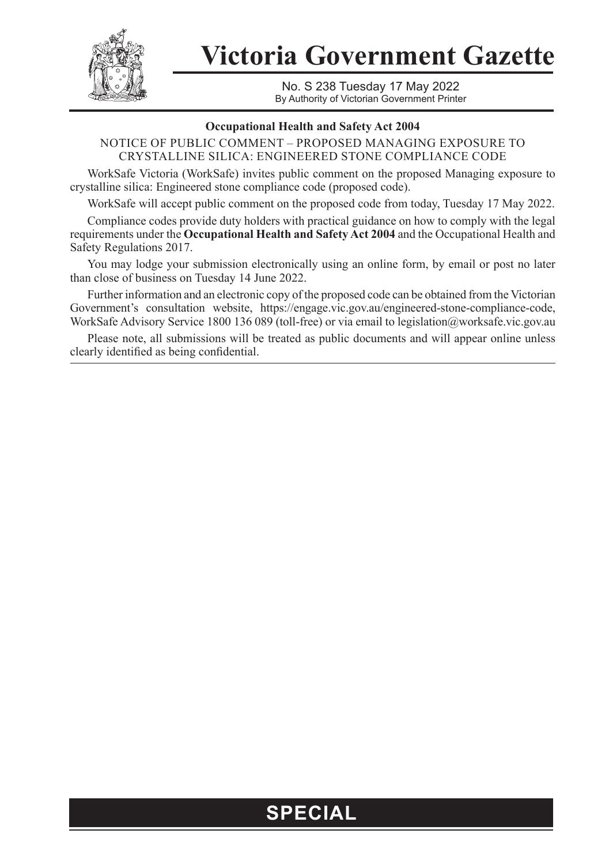

**Victoria Government Gazette**

No. S 238 Tuesday 17 May 2022 By Authority of Victorian Government Printer

## **Occupational Health and Safety Act 2004**

NOTICE OF PUBLIC COMMENT – PROPOSED MANAGING EXPOSURE TO CRYSTALLINE SILICA: ENGINEERED STONE COMPLIANCE CODE

WorkSafe Victoria (WorkSafe) invites public comment on the proposed Managing exposure to crystalline silica: Engineered stone compliance code (proposed code).

WorkSafe will accept public comment on the proposed code from today, Tuesday 17 May 2022.

Compliance codes provide duty holders with practical guidance on how to comply with the legal requirements under the **Occupational Health and Safety Act 2004** and the Occupational Health and Safety Regulations 2017.

You may lodge your submission electronically using an online form, by email or post no later than close of business on Tuesday 14 June 2022.

Further information and an electronic copy of the proposed code can be obtained from the Victorian Government's consultation website, https://engage.vic.gov.au/engineered-stone-compliance-code, WorkSafe Advisory Service 1800 136 089 (toll-free) or via email to legislation@worksafe.vic.gov.au

Please note, all submissions will be treated as public documents and will appear online unless clearly identified as being confidential.

## **SPECIAL**